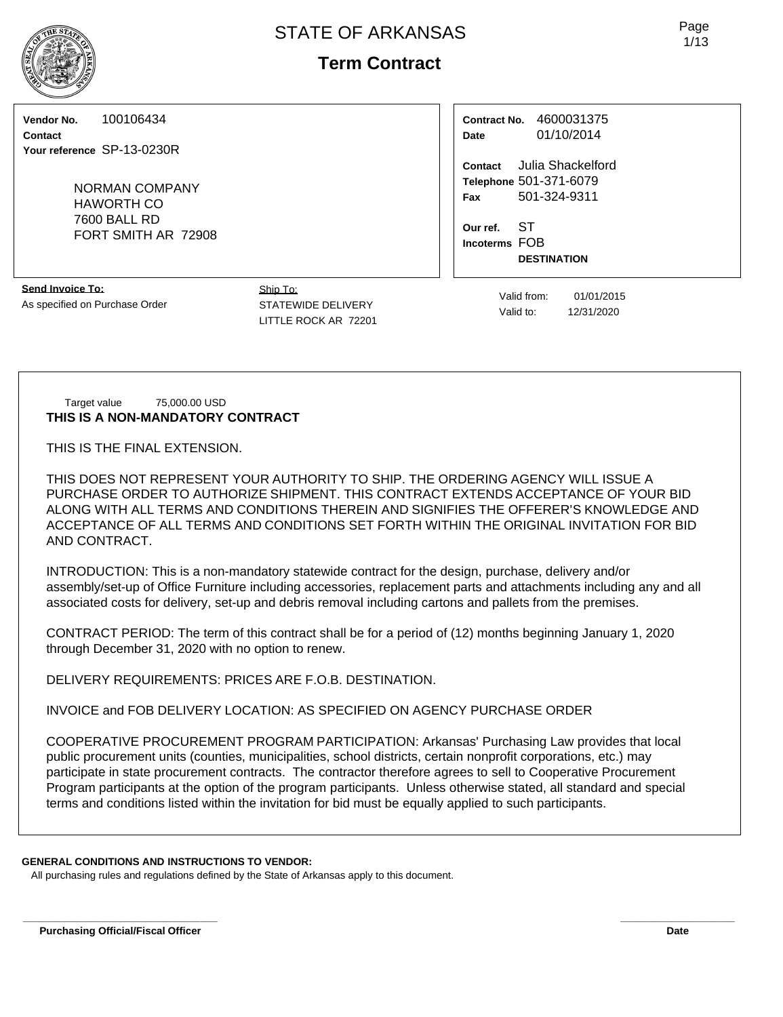# **Term Contract**

**Vendor No.** 100106434

**Contact Your reference** SP-13-0230R

> NORMAN COMPANY HAWORTH CO 7600 BALL RD FORT SMITH AR 72908

**Send Invoice To:** As specified on Purchase Order

Ship To: STATEWIDE DELIVERY LITTLE ROCK AR 72201

**Contract No.** 4600031375 **Date** 01/10/2014

**Contact** Julia Shackelford **Telephone** 501-371-6079 **Fax** 501-324-9311

**Our ref.** ST **Incoterms** FOB **DESTINATION**

Valid from: 01/01/2015

Target value 75,000.00 USD **THIS IS A NON-MANDATORY CONTRACT**

THIS IS THE FINAL EXTENSION.

THIS DOES NOT REPRESENT YOUR AUTHORITY TO SHIP. THE ORDERING AGENCY WILL ISSUE A PURCHASE ORDER TO AUTHORIZE SHIPMENT. THIS CONTRACT EXTENDS ACCEPTANCE OF YOUR BID ALONG WITH ALL TERMS AND CONDITIONS THEREIN AND SIGNIFIES THE OFFERER'S KNOWLEDGE AND ACCEPTANCE OF ALL TERMS AND CONDITIONS SET FORTH WITHIN THE ORIGINAL INVITATION FOR BID AND CONTRACT.

INTRODUCTION: This is a non-mandatory statewide contract for the design, purchase, delivery and/or assembly/set-up of Office Furniture including accessories, replacement parts and attachments including any and all associated costs for delivery, set-up and debris removal including cartons and pallets from the premises.

CONTRACT PERIOD: The term of this contract shall be for a period of (12) months beginning January 1, 2020 through December 31, 2020 with no option to renew.

DELIVERY REQUIREMENTS: PRICES ARE F.O.B. DESTINATION.

INVOICE and FOB DELIVERY LOCATION: AS SPECIFIED ON AGENCY PURCHASE ORDER

COOPERATIVE PROCUREMENT PROGRAM PARTICIPATION: Arkansas' Purchasing Law provides that local public procurement units (counties, municipalities, school districts, certain nonprofit corporations, etc.) may participate in state procurement contracts. The contractor therefore agrees to sell to Cooperative Procurement Program participants at the option of the program participants. Unless otherwise stated, all standard and special terms and conditions listed within the invitation for bid must be equally applied to such participants.

**\_\_\_\_\_\_\_\_\_\_\_\_\_\_\_\_\_\_\_\_\_\_\_\_\_\_\_\_\_\_\_\_\_\_ \_\_\_\_\_\_\_\_\_\_\_\_\_\_\_\_\_\_\_\_**

# **GENERAL CONDITIONS AND INSTRUCTIONS TO VENDOR:**

All purchasing rules and regulations defined by the State of Arkansas apply to this document.



Valid to: 12/31/2020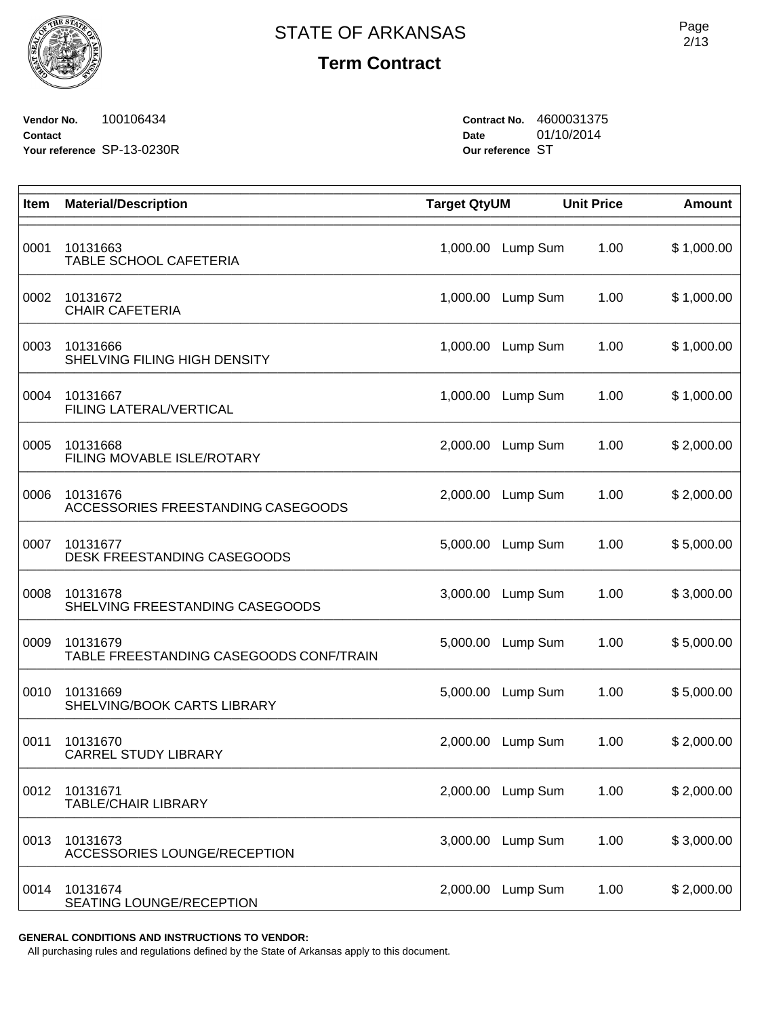

**Vendor No.** 100106434 **Contact Your reference** SP-13-0230R **Contract No.** 4600031375 **Date** 01/10/2014 **Our reference** ST

| Item | <b>Material/Description</b>                         | <b>Target QtyUM</b> |          | <b>Unit Price</b> | <b>Amount</b> |
|------|-----------------------------------------------------|---------------------|----------|-------------------|---------------|
| 0001 | 10131663<br>TABLE SCHOOL CAFETERIA                  | 1,000.00            | Lump Sum | 1.00              | \$1,000.00    |
| 0002 | 10131672<br><b>CHAIR CAFETERIA</b>                  | 1,000.00            | Lump Sum | 1.00              | \$1,000.00    |
| 0003 | 10131666<br>SHELVING FILING HIGH DENSITY            | 1,000.00            | Lump Sum | 1.00              | \$1,000.00    |
| 0004 | 10131667<br>FILING LATERAL/VERTICAL                 | 1,000.00            | Lump Sum | 1.00              | \$1,000.00    |
| 0005 | 10131668<br>FILING MOVABLE ISLE/ROTARY              | 2,000.00            | Lump Sum | 1.00              | \$2,000.00    |
| 0006 | 10131676<br>ACCESSORIES FREESTANDING CASEGOODS      | 2,000.00            | Lump Sum | 1.00              | \$2,000.00    |
| 0007 | 10131677<br>DESK FREESTANDING CASEGOODS             | 5,000.00            | Lump Sum | 1.00              | \$5,000.00    |
| 0008 | 10131678<br>SHELVING FREESTANDING CASEGOODS         | 3,000.00            | Lump Sum | 1.00              | \$3,000.00    |
| 0009 | 10131679<br>TABLE FREESTANDING CASEGOODS CONF/TRAIN | 5,000.00            | Lump Sum | 1.00              | \$5,000.00    |
| 0010 | 10131669<br>SHELVING/BOOK CARTS LIBRARY             | 5,000.00            | Lump Sum | 1.00              | \$5,000.00    |
| 0011 | 10131670<br><b>CARREL STUDY LIBRARY</b>             | 2,000.00            | Lump Sum | 1.00              | \$2,000.00    |
| 0012 | 10131671<br><b>TABLE/CHAIR LIBRARY</b>              | 2,000.00            | Lump Sum | 1.00              | \$2,000.00    |
| 0013 | 10131673<br>ACCESSORIES LOUNGE/RECEPTION            | 3,000.00            | Lump Sum | 1.00              | \$3,000.00    |
| 0014 | 10131674<br>SEATING LOUNGE/RECEPTION                | 2,000.00            | Lump Sum | 1.00              | \$2,000.00    |

**GENERAL CONDITIONS AND INSTRUCTIONS TO VENDOR:**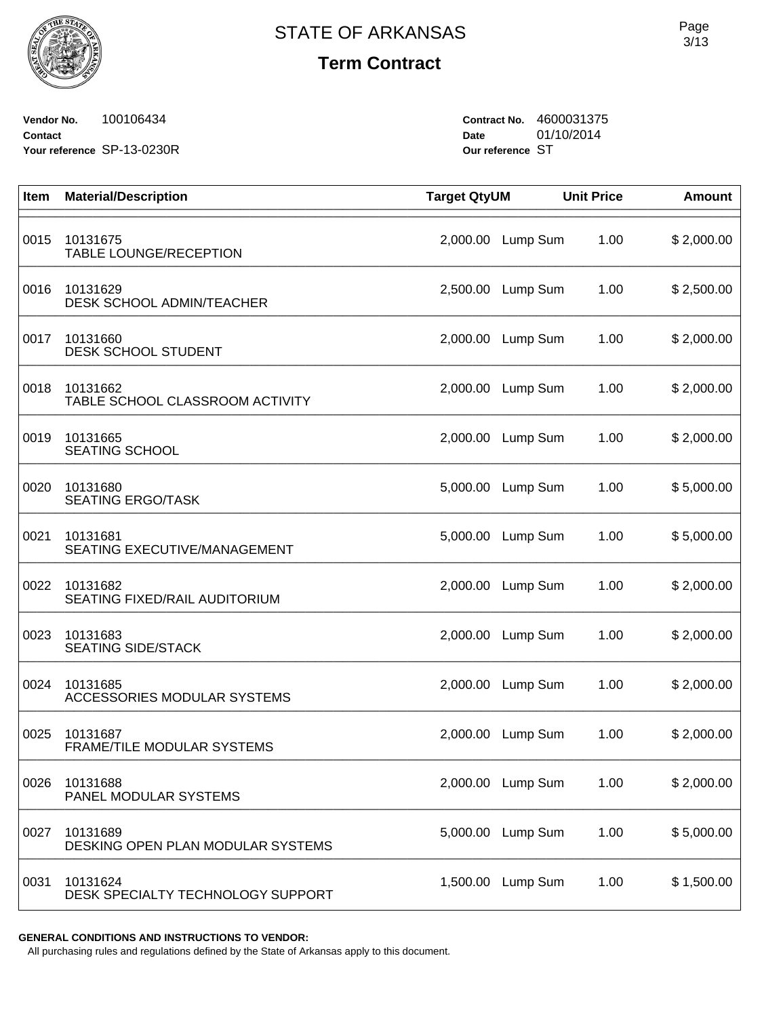

**Vendor No.** 100106434 **Contact Your reference** SP-13-0230R **Contract No.** 4600031375 **Date** 01/10/2014 **Our reference** ST

| Item | <b>Material/Description</b>                   | <b>Target QtyUM</b> |                   | <b>Unit Price</b> | <b>Amount</b> |
|------|-----------------------------------------------|---------------------|-------------------|-------------------|---------------|
| 0015 | 10131675<br>TABLE LOUNGE/RECEPTION            | 2,000.00            | Lump Sum          | 1.00              | \$2,000.00    |
| 0016 | 10131629<br><b>DESK SCHOOL ADMIN/TEACHER</b>  | 2,500.00            | Lump Sum          | 1.00              | \$2,500.00    |
| 0017 | 10131660<br><b>DESK SCHOOL STUDENT</b>        | 2,000.00            | Lump Sum          | 1.00              | \$2,000.00    |
| 0018 | 10131662<br>TABLE SCHOOL CLASSROOM ACTIVITY   | 2,000.00            | Lump Sum          | 1.00              | \$2,000.00    |
| 0019 | 10131665<br><b>SEATING SCHOOL</b>             | 2,000.00            | Lump Sum          | 1.00              | \$2,000.00    |
| 0020 | 10131680<br><b>SEATING ERGO/TASK</b>          | 5,000.00            | Lump Sum          | 1.00              | \$5,000.00    |
| 0021 | 10131681<br>SEATING EXECUTIVE/MANAGEMENT      | 5,000.00            | Lump Sum          | 1.00              | \$5,000.00    |
| 0022 | 10131682<br>SEATING FIXED/RAIL AUDITORIUM     | 2,000.00            | Lump Sum          | 1.00              | \$2,000.00    |
| 0023 | 10131683<br><b>SEATING SIDE/STACK</b>         | 2,000.00            | Lump Sum          | 1.00              | \$2,000.00    |
| 0024 | 10131685<br>ACCESSORIES MODULAR SYSTEMS       |                     | 2,000.00 Lump Sum | 1.00              | \$2,000.00    |
| 0025 | 10131687<br>FRAME/TILE MODULAR SYSTEMS        | 2,000.00            | Lump Sum          | 1.00              | \$2,000.00    |
| 0026 | 10131688<br>PANEL MODULAR SYSTEMS             |                     | 2,000.00 Lump Sum | 1.00              | \$2,000.00    |
| 0027 | 10131689<br>DESKING OPEN PLAN MODULAR SYSTEMS | 5,000.00            | Lump Sum          | 1.00              | \$5,000.00    |
| 0031 | 10131624<br>DESK SPECIALTY TECHNOLOGY SUPPORT | 1,500.00            | Lump Sum          | 1.00              | \$1,500.00    |

**GENERAL CONDITIONS AND INSTRUCTIONS TO VENDOR:**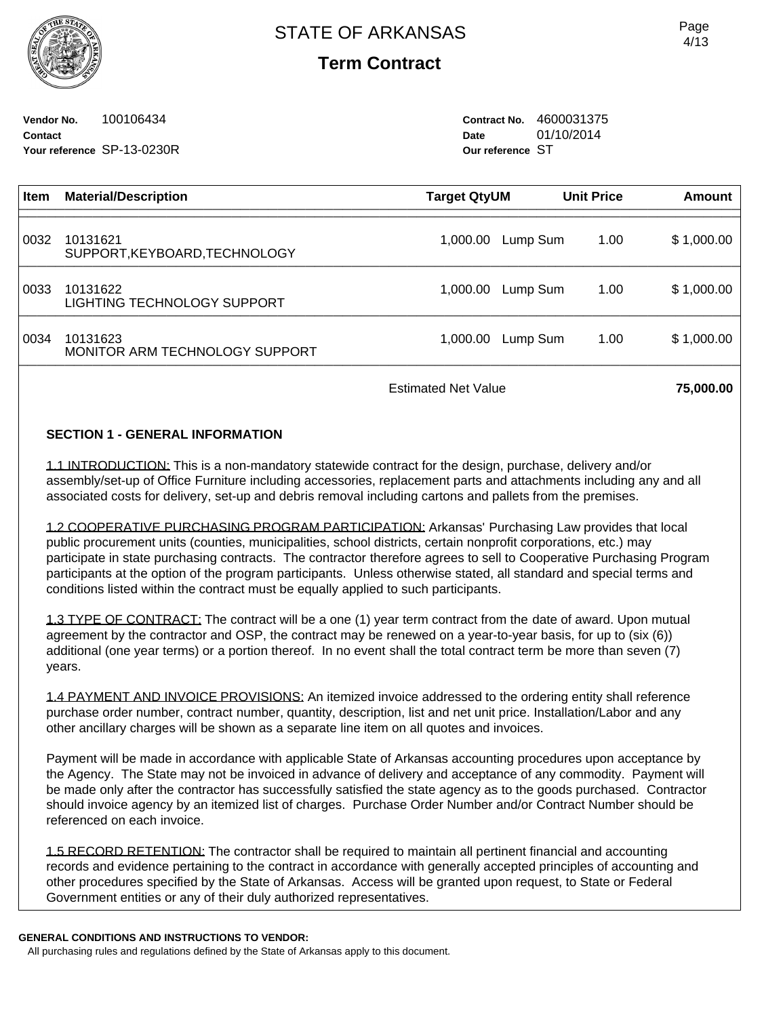**Vendor No.** 100106434 **Contact Your reference** SP-13-0230R **Contract No.** 4600031375 **Date** 01/10/2014 **Our reference** ST

| <b>Item</b> | <b>Material/Description</b>                | Target QtyUM | <b>Unit Price</b> | Amount             |
|-------------|--------------------------------------------|--------------|-------------------|--------------------|
| 0032        | 10131621<br>SUPPORT, KEYBOARD, TECHNOLOGY  | 1,000.00     | Lump Sum          | \$1,000.00<br>1.00 |
| 0033        | 10131622<br>LIGHTING TECHNOLOGY SUPPORT    | 1,000.00     | Lump Sum          | 1.00<br>\$1,000.00 |
| 0034        | 10131623<br>MONITOR ARM TECHNOLOGY SUPPORT | 1,000.00     | Lump Sum          | \$1,000.00<br>1.00 |
|             |                                            |              |                   |                    |

Estimated Net Value **75,000.00** 

## **SECTION 1 - GENERAL INFORMATION**

1.1 INTRODUCTION: This is a non-mandatory statewide contract for the design, purchase, delivery and/or assembly/set-up of Office Furniture including accessories, replacement parts and attachments including any and all associated costs for delivery, set-up and debris removal including cartons and pallets from the premises.

1.2 COOPERATIVE PURCHASING PROGRAM PARTICIPATION: Arkansas' Purchasing Law provides that local public procurement units (counties, municipalities, school districts, certain nonprofit corporations, etc.) may participate in state purchasing contracts. The contractor therefore agrees to sell to Cooperative Purchasing Program participants at the option of the program participants. Unless otherwise stated, all standard and special terms and conditions listed within the contract must be equally applied to such participants.

1.3 TYPE OF CONTRACT: The contract will be a one (1) year term contract from the date of award. Upon mutual agreement by the contractor and OSP, the contract may be renewed on a year-to-year basis, for up to (six (6)) additional (one year terms) or a portion thereof. In no event shall the total contract term be more than seven (7) years.

1.4 PAYMENT AND INVOICE PROVISIONS: An itemized invoice addressed to the ordering entity shall reference purchase order number, contract number, quantity, description, list and net unit price. Installation/Labor and any other ancillary charges will be shown as a separate line item on all quotes and invoices.

Payment will be made in accordance with applicable State of Arkansas accounting procedures upon acceptance by the Agency. The State may not be invoiced in advance of delivery and acceptance of any commodity. Payment will be made only after the contractor has successfully satisfied the state agency as to the goods purchased. Contractor should invoice agency by an itemized list of charges. Purchase Order Number and/or Contract Number should be referenced on each invoice.

1.5 RECORD RETENTION: The contractor shall be required to maintain all pertinent financial and accounting records and evidence pertaining to the contract in accordance with generally accepted principles of accounting and other procedures specified by the State of Arkansas. Access will be granted upon request, to State or Federal Government entities or any of their duly authorized representatives.

### **GENERAL CONDITIONS AND INSTRUCTIONS TO VENDOR:**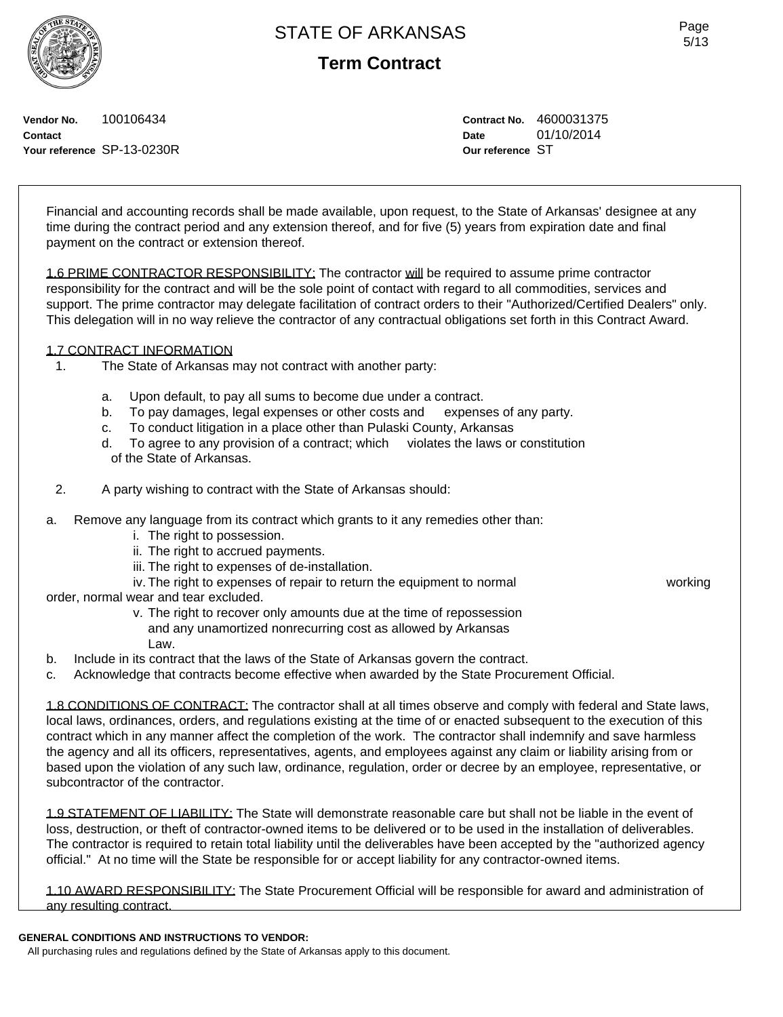# **Term Contract**

Page 5/13



**Vendor No.** 100106434 **Contact Your reference** SP-13-0230R **Contract No.** 4600031375 **Date** 01/10/2014 **Our reference** ST

Financial and accounting records shall be made available, upon request, to the State of Arkansas' designee at any time during the contract period and any extension thereof, and for five (5) years from expiration date and final payment on the contract or extension thereof.

1.6 PRIME CONTRACTOR RESPONSIBILITY: The contractor will be required to assume prime contractor responsibility for the contract and will be the sole point of contact with regard to all commodities, services and support. The prime contractor may delegate facilitation of contract orders to their "Authorized/Certified Dealers" only. This delegation will in no way relieve the contractor of any contractual obligations set forth in this Contract Award.

## 1.7 CONTRACT INFORMATION

- 1. The State of Arkansas may not contract with another party:
	- a. Upon default, to pay all sums to become due under a contract.
	- b. To pay damages, legal expenses or other costs and expenses of any party.
	- c. To conduct litigation in a place other than Pulaski County, Arkansas
	- d. To agree to any provision of a contract; which violates the laws or constitution of the State of Arkansas.
- 2. A party wishing to contract with the State of Arkansas should:
- a. Remove any language from its contract which grants to it any remedies other than:
	- i. The right to possession.
	- ii. The right to accrued payments.
	- iii. The right to expenses of de-installation.
	- iv. The right to expenses of repair to return the equipment to normal working

order, normal wear and tear excluded.

 v. The right to recover only amounts due at the time of repossession and any unamortized nonrecurring cost as allowed by Arkansas Law.

- b. Include in its contract that the laws of the State of Arkansas govern the contract.
- c. Acknowledge that contracts become effective when awarded by the State Procurement Official.

1.8 CONDITIONS OF CONTRACT: The contractor shall at all times observe and comply with federal and State laws, local laws, ordinances, orders, and regulations existing at the time of or enacted subsequent to the execution of this contract which in any manner affect the completion of the work. The contractor shall indemnify and save harmless the agency and all its officers, representatives, agents, and employees against any claim or liability arising from or based upon the violation of any such law, ordinance, regulation, order or decree by an employee, representative, or subcontractor of the contractor.

1.9 STATEMENT OF LIABILITY: The State will demonstrate reasonable care but shall not be liable in the event of loss, destruction, or theft of contractor-owned items to be delivered or to be used in the installation of deliverables. The contractor is required to retain total liability until the deliverables have been accepted by the "authorized agency official." At no time will the State be responsible for or accept liability for any contractor-owned items.

1.10 AWARD RESPONSIBILITY: The State Procurement Official will be responsible for award and administration of any resulting contract.

### **GENERAL CONDITIONS AND INSTRUCTIONS TO VENDOR:**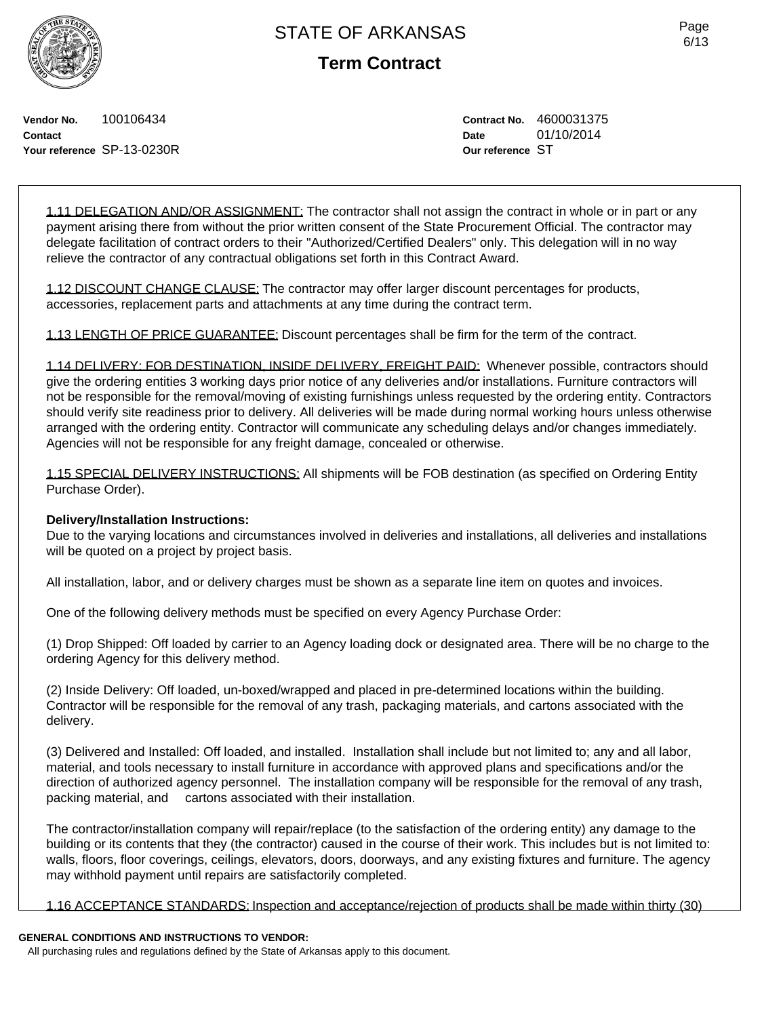**Term Contract**

Page 6/13

**Vendor No.** 100106434 **Contact Your reference** SP-13-0230R **Contract No.** 4600031375 **Date** 01/10/2014 **Our reference** ST

1.11 DELEGATION AND/OR ASSIGNMENT: The contractor shall not assign the contract in whole or in part or any payment arising there from without the prior written consent of the State Procurement Official. The contractor may delegate facilitation of contract orders to their "Authorized/Certified Dealers" only. This delegation will in no way relieve the contractor of any contractual obligations set forth in this Contract Award.

1.12 DISCOUNT CHANGE CLAUSE: The contractor may offer larger discount percentages for products, accessories, replacement parts and attachments at any time during the contract term.

1.13 LENGTH OF PRICE GUARANTEE: Discount percentages shall be firm for the term of the contract.

1.14 DELIVERY: FOB DESTINATION, INSIDE DELIVERY, FREIGHT PAID: Whenever possible, contractors should give the ordering entities 3 working days prior notice of any deliveries and/or installations. Furniture contractors will not be responsible for the removal/moving of existing furnishings unless requested by the ordering entity. Contractors should verify site readiness prior to delivery. All deliveries will be made during normal working hours unless otherwise arranged with the ordering entity. Contractor will communicate any scheduling delays and/or changes immediately. Agencies will not be responsible for any freight damage, concealed or otherwise.

1.15 SPECIAL DELIVERY INSTRUCTIONS: All shipments will be FOB destination (as specified on Ordering Entity Purchase Order).

### **Delivery/Installation Instructions:**

Due to the varying locations and circumstances involved in deliveries and installations, all deliveries and installations will be quoted on a project by project basis.

All installation, labor, and or delivery charges must be shown as a separate line item on quotes and invoices.

One of the following delivery methods must be specified on every Agency Purchase Order:

(1) Drop Shipped: Off loaded by carrier to an Agency loading dock or designated area. There will be no charge to the ordering Agency for this delivery method.

(2) Inside Delivery: Off loaded, un-boxed/wrapped and placed in pre-determined locations within the building. Contractor will be responsible for the removal of any trash, packaging materials, and cartons associated with the delivery.

(3) Delivered and Installed: Off loaded, and installed. Installation shall include but not limited to; any and all labor, material, and tools necessary to install furniture in accordance with approved plans and specifications and/or the direction of authorized agency personnel. The installation company will be responsible for the removal of any trash, packing material, and cartons associated with their installation.

The contractor/installation company will repair/replace (to the satisfaction of the ordering entity) any damage to the building or its contents that they (the contractor) caused in the course of their work. This includes but is not limited to: walls, floors, floor coverings, ceilings, elevators, doors, doorways, and any existing fixtures and furniture. The agency may withhold payment until repairs are satisfactorily completed.

1.16 ACCEPTANCE STANDARDS: Inspection and acceptance/rejection of products shall be made within thirty (30)

# **GENERAL CONDITIONS AND INSTRUCTIONS TO VENDOR:**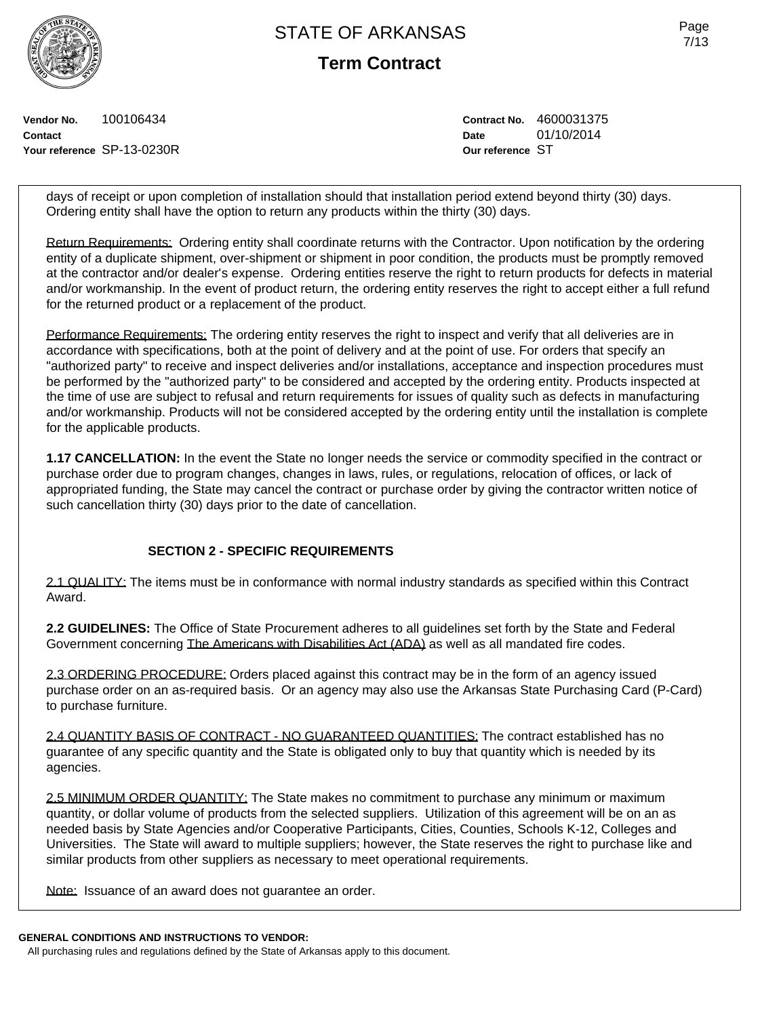**Term Contract**

**Vendor No.** 100106434 **Contact Your reference** SP-13-0230R **Contract No.** 4600031375 **Date** 01/10/2014 **Our reference** ST

days of receipt or upon completion of installation should that installation period extend beyond thirty (30) days. Ordering entity shall have the option to return any products within the thirty (30) days.

Return Requirements: Ordering entity shall coordinate returns with the Contractor. Upon notification by the ordering entity of a duplicate shipment, over-shipment or shipment in poor condition, the products must be promptly removed at the contractor and/or dealer's expense. Ordering entities reserve the right to return products for defects in material and/or workmanship. In the event of product return, the ordering entity reserves the right to accept either a full refund for the returned product or a replacement of the product.

Performance Requirements: The ordering entity reserves the right to inspect and verify that all deliveries are in accordance with specifications, both at the point of delivery and at the point of use. For orders that specify an "authorized party" to receive and inspect deliveries and/or installations, acceptance and inspection procedures must be performed by the "authorized party" to be considered and accepted by the ordering entity. Products inspected at the time of use are subject to refusal and return requirements for issues of quality such as defects in manufacturing and/or workmanship. Products will not be considered accepted by the ordering entity until the installation is complete for the applicable products.

**1.17 CANCELLATION:** In the event the State no longer needs the service or commodity specified in the contract or purchase order due to program changes, changes in laws, rules, or regulations, relocation of offices, or lack of appropriated funding, the State may cancel the contract or purchase order by giving the contractor written notice of such cancellation thirty (30) days prior to the date of cancellation.

## **SECTION 2 - SPECIFIC REQUIREMENTS**

2.1 QUALITY: The items must be in conformance with normal industry standards as specified within this Contract Award.

**2.2 GUIDELINES:** The Office of State Procurement adheres to all guidelines set forth by the State and Federal Government concerning The Americans with Disabilities Act (ADA) as well as all mandated fire codes.

2.3 ORDERING PROCEDURE: Orders placed against this contract may be in the form of an agency issued purchase order on an as-required basis. Or an agency may also use the Arkansas State Purchasing Card (P-Card) to purchase furniture.

2.4 QUANTITY BASIS OF CONTRACT - NO GUARANTEED QUANTITIES: The contract established has no guarantee of any specific quantity and the State is obligated only to buy that quantity which is needed by its agencies.

2.5 MINIMUM ORDER QUANTITY: The State makes no commitment to purchase any minimum or maximum quantity, or dollar volume of products from the selected suppliers. Utilization of this agreement will be on an as needed basis by State Agencies and/or Cooperative Participants, Cities, Counties, Schools K-12, Colleges and Universities. The State will award to multiple suppliers; however, the State reserves the right to purchase like and similar products from other suppliers as necessary to meet operational requirements.

Note: Issuance of an award does not guarantee an order.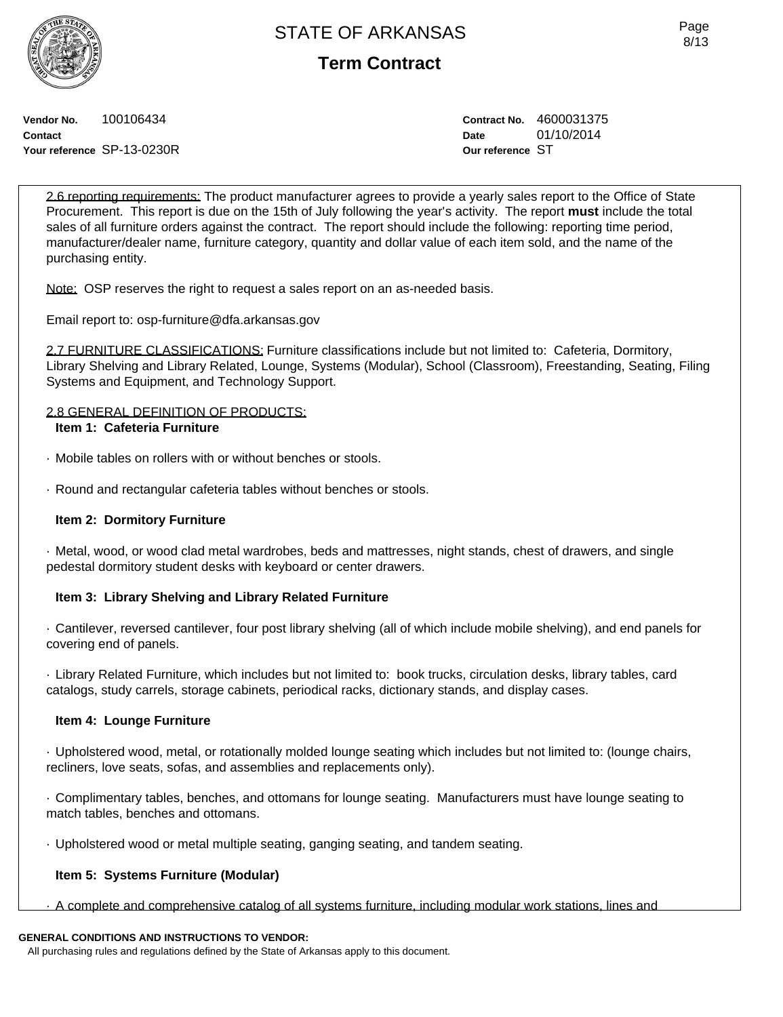**Term Contract**

**Vendor No.** 100106434 **Contact Your reference** SP-13-0230R **Contract No.** 4600031375 **Date** 01/10/2014 **Our reference** ST

2.6 reporting requirements: The product manufacturer agrees to provide a yearly sales report to the Office of State Procurement. This report is due on the 15th of July following the year's activity. The report **must** include the total sales of all furniture orders against the contract. The report should include the following: reporting time period, manufacturer/dealer name, furniture category, quantity and dollar value of each item sold, and the name of the purchasing entity.

Note: OSP reserves the right to request a sales report on an as-needed basis.

Email report to: osp-furniture@dfa.arkansas.gov

2.7 FURNITURE CLASSIFICATIONS: Furniture classifications include but not limited to: Cafeteria, Dormitory, Library Shelving and Library Related, Lounge, Systems (Modular), School (Classroom), Freestanding, Seating, Filing Systems and Equipment, and Technology Support.

## 2.8 GENERAL DEFINITION OF PRODUCTS: **Item 1: Cafeteria Furniture**

- · Mobile tables on rollers with or without benches or stools.
- · Round and rectangular cafeteria tables without benches or stools.

## **Item 2: Dormitory Furniture**

· Metal, wood, or wood clad metal wardrobes, beds and mattresses, night stands, chest of drawers, and single pedestal dormitory student desks with keyboard or center drawers.

# **Item 3: Library Shelving and Library Related Furniture**

· Cantilever, reversed cantilever, four post library shelving (all of which include mobile shelving), and end panels for covering end of panels.

· Library Related Furniture, which includes but not limited to: book trucks, circulation desks, library tables, card catalogs, study carrels, storage cabinets, periodical racks, dictionary stands, and display cases.

# **Item 4: Lounge Furniture**

· Upholstered wood, metal, or rotationally molded lounge seating which includes but not limited to: (lounge chairs, recliners, love seats, sofas, and assemblies and replacements only).

· Complimentary tables, benches, and ottomans for lounge seating. Manufacturers must have lounge seating to match tables, benches and ottomans.

· Upholstered wood or metal multiple seating, ganging seating, and tandem seating.

# **Item 5: Systems Furniture (Modular)**

· A complete and comprehensive catalog of all systems furniture, including modular work stations, lines and

# **GENERAL CONDITIONS AND INSTRUCTIONS TO VENDOR:**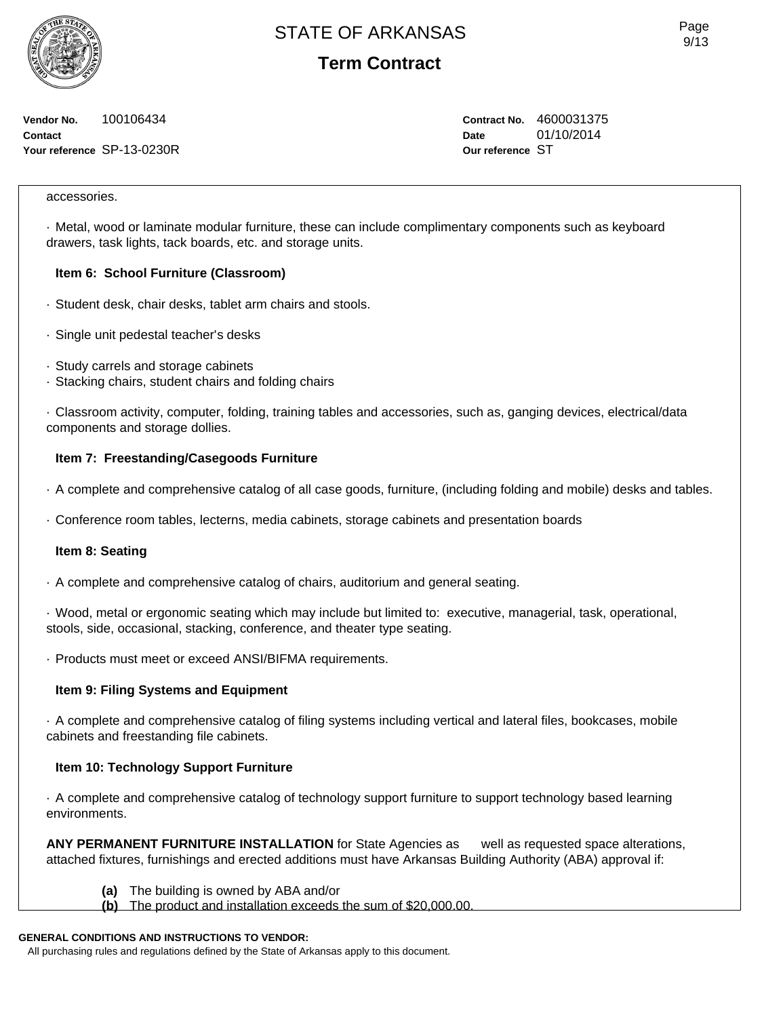**Term Contract**

**Vendor No.** 100106434 **Contact Your reference** SP-13-0230R **Contract No.** 4600031375 **Date** 01/10/2014 **Our reference** ST

### accessories.

· Metal, wood or laminate modular furniture, these can include complimentary components such as keyboard drawers, task lights, tack boards, etc. and storage units.

## **Item 6: School Furniture (Classroom)**

- · Student desk, chair desks, tablet arm chairs and stools.
- · Single unit pedestal teacher's desks
- · Study carrels and storage cabinets
- · Stacking chairs, student chairs and folding chairs

· Classroom activity, computer, folding, training tables and accessories, such as, ganging devices, electrical/data components and storage dollies.

## **Item 7: Freestanding/Casegoods Furniture**

- · A complete and comprehensive catalog of all case goods, furniture, (including folding and mobile) desks and tables.
- · Conference room tables, lecterns, media cabinets, storage cabinets and presentation boards

### **Item 8: Seating**

· A complete and comprehensive catalog of chairs, auditorium and general seating.

· Wood, metal or ergonomic seating which may include but limited to: executive, managerial, task, operational, stools, side, occasional, stacking, conference, and theater type seating.

· Products must meet or exceed ANSI/BIFMA requirements.

### **Item 9: Filing Systems and Equipment**

· A complete and comprehensive catalog of filing systems including vertical and lateral files, bookcases, mobile cabinets and freestanding file cabinets.

## **Item 10: Technology Support Furniture**

· A complete and comprehensive catalog of technology support furniture to support technology based learning environments.

**ANY PERMANENT FURNITURE INSTALLATION** for State Agencies as well as requested space alterations, attached fixtures, furnishings and erected additions must have Arkansas Building Authority (ABA) approval if:

- **(a)** The building is owned by ABA and/or
- **(b)** The product and installation exceeds the sum of \$20,000.00.

## **GENERAL CONDITIONS AND INSTRUCTIONS TO VENDOR:**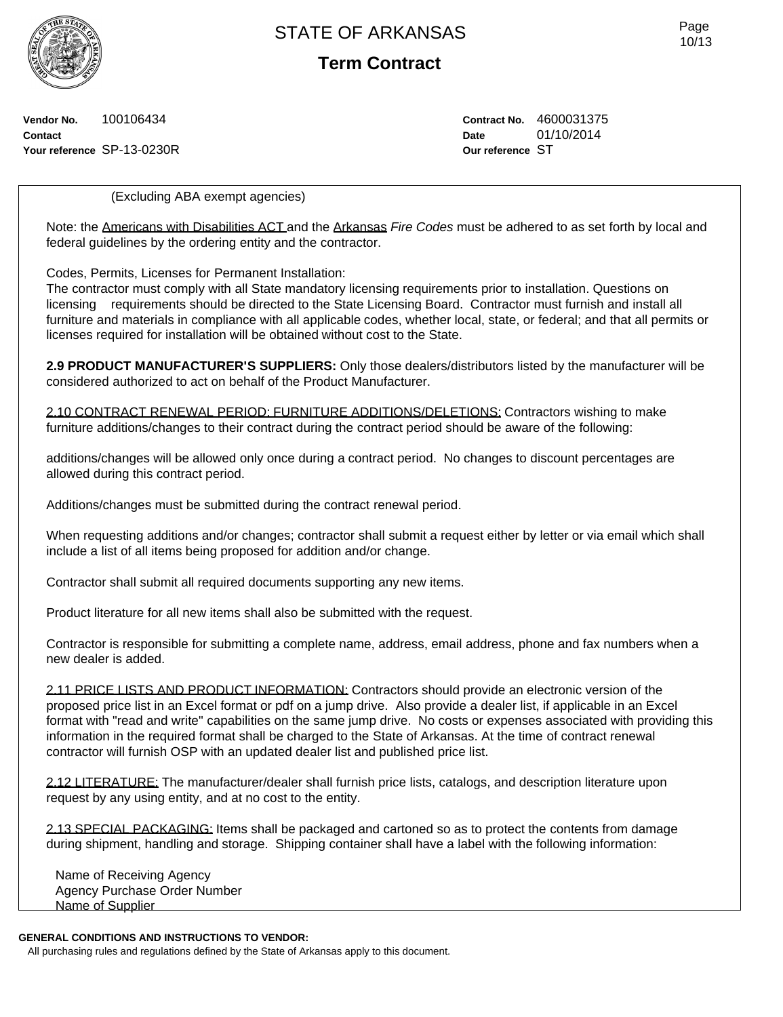**Term Contract**

**Vendor No.** 100106434 **Contact Your reference** SP-13-0230R **Contract No.** 4600031375 **Date** 01/10/2014 **Our reference** ST

(Excluding ABA exempt agencies)

Note: the Americans with Disabilities ACT and the Arkansas *Fire Codes* must be adhered to as set forth by local and federal guidelines by the ordering entity and the contractor.

Codes, Permits, Licenses for Permanent Installation:

The contractor must comply with all State mandatory licensing requirements prior to installation. Questions on licensing requirements should be directed to the State Licensing Board. Contractor must furnish and install all furniture and materials in compliance with all applicable codes, whether local, state, or federal; and that all permits or licenses required for installation will be obtained without cost to the State.

**2.9 PRODUCT MANUFACTURER'S SUPPLIERS:** Only those dealers/distributors listed by the manufacturer will be considered authorized to act on behalf of the Product Manufacturer.

2.10 CONTRACT RENEWAL PERIOD: FURNITURE ADDITIONS/DELETIONS: Contractors wishing to make furniture additions/changes to their contract during the contract period should be aware of the following:

additions/changes will be allowed only once during a contract period. No changes to discount percentages are allowed during this contract period.

Additions/changes must be submitted during the contract renewal period.

When requesting additions and/or changes; contractor shall submit a request either by letter or via email which shall include a list of all items being proposed for addition and/or change.

Contractor shall submit all required documents supporting any new items.

Product literature for all new items shall also be submitted with the request.

Contractor is responsible for submitting a complete name, address, email address, phone and fax numbers when a new dealer is added.

2.11 PRICE LISTS AND PRODUCT INFORMATION: Contractors should provide an electronic version of the proposed price list in an Excel format or pdf on a jump drive. Also provide a dealer list, if applicable in an Excel format with "read and write" capabilities on the same jump drive. No costs or expenses associated with providing this information in the required format shall be charged to the State of Arkansas. At the time of contract renewal contractor will furnish OSP with an updated dealer list and published price list.

2.12 LITERATURE: The manufacturer/dealer shall furnish price lists, catalogs, and description literature upon request by any using entity, and at no cost to the entity.

2.13 SPECIAL PACKAGING: Items shall be packaged and cartoned so as to protect the contents from damage during shipment, handling and storage. Shipping container shall have a label with the following information:

Name of Receiving Agency Agency Purchase Order Number Name of Supplier

## **GENERAL CONDITIONS AND INSTRUCTIONS TO VENDOR:**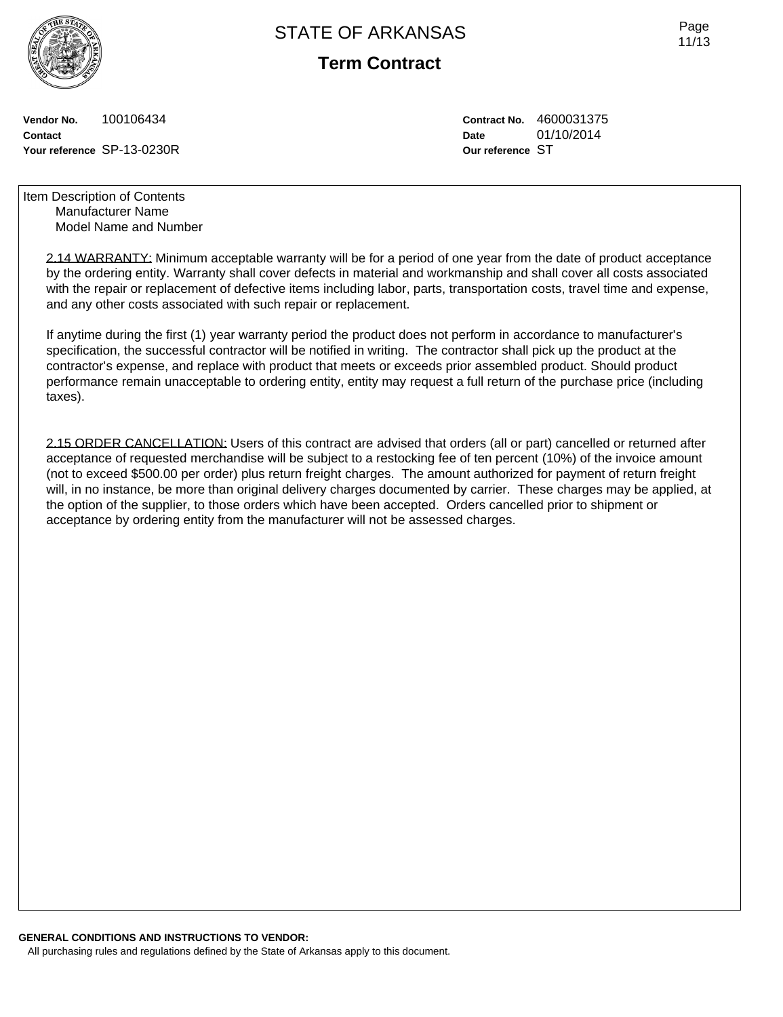

**Term Contract**

**Vendor No.** 100106434 **Contact Your reference** SP-13-0230R **Contract No.** 4600031375 **Date** 01/10/2014 **Our reference** ST

Item Description of Contents Manufacturer Name Model Name and Number

> 2.14 WARRANTY: Minimum acceptable warranty will be for a period of one year from the date of product acceptance by the ordering entity. Warranty shall cover defects in material and workmanship and shall cover all costs associated with the repair or replacement of defective items including labor, parts, transportation costs, travel time and expense, and any other costs associated with such repair or replacement.

If anytime during the first (1) year warranty period the product does not perform in accordance to manufacturer's specification, the successful contractor will be notified in writing. The contractor shall pick up the product at the contractor's expense, and replace with product that meets or exceeds prior assembled product. Should product performance remain unacceptable to ordering entity, entity may request a full return of the purchase price (including taxes).

2.15 ORDER CANCELLATION: Users of this contract are advised that orders (all or part) cancelled or returned after acceptance of requested merchandise will be subject to a restocking fee of ten percent (10%) of the invoice amount (not to exceed \$500.00 per order) plus return freight charges. The amount authorized for payment of return freight will, in no instance, be more than original delivery charges documented by carrier. These charges may be applied, at the option of the supplier, to those orders which have been accepted. Orders cancelled prior to shipment or acceptance by ordering entity from the manufacturer will not be assessed charges.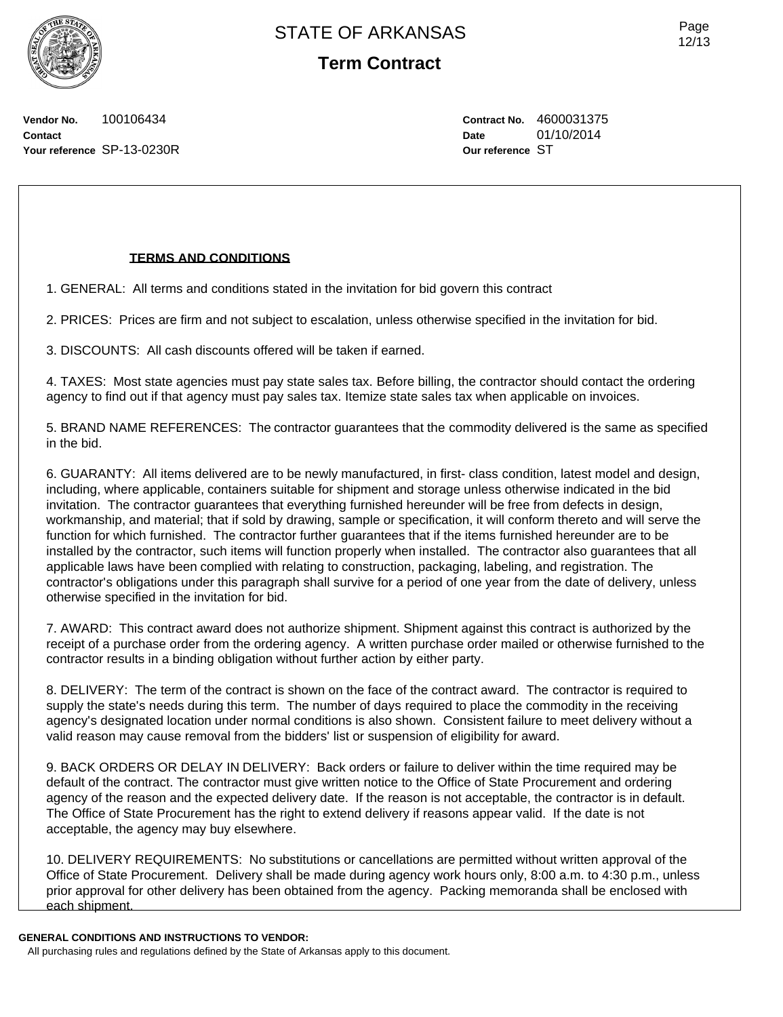Page 12/13

**Vendor No.** 100106434 **Contact Your reference** SP-13-0230R **Contract No.** 4600031375 **Date** 01/10/2014 **Our reference** ST

## **TERMS AND CONDITIONS**

1. GENERAL: All terms and conditions stated in the invitation for bid govern this contract

2. PRICES: Prices are firm and not subject to escalation, unless otherwise specified in the invitation for bid.

3. DISCOUNTS: All cash discounts offered will be taken if earned.

4. TAXES: Most state agencies must pay state sales tax. Before billing, the contractor should contact the ordering agency to find out if that agency must pay sales tax. Itemize state sales tax when applicable on invoices.

5. BRAND NAME REFERENCES: The contractor guarantees that the commodity delivered is the same as specified in the bid.

6. GUARANTY: All items delivered are to be newly manufactured, in first- class condition, latest model and design, including, where applicable, containers suitable for shipment and storage unless otherwise indicated in the bid invitation. The contractor guarantees that everything furnished hereunder will be free from defects in design, workmanship, and material; that if sold by drawing, sample or specification, it will conform thereto and will serve the function for which furnished. The contractor further guarantees that if the items furnished hereunder are to be installed by the contractor, such items will function properly when installed. The contractor also guarantees that all applicable laws have been complied with relating to construction, packaging, labeling, and registration. The contractor's obligations under this paragraph shall survive for a period of one year from the date of delivery, unless otherwise specified in the invitation for bid.

7. AWARD: This contract award does not authorize shipment. Shipment against this contract is authorized by the receipt of a purchase order from the ordering agency. A written purchase order mailed or otherwise furnished to the contractor results in a binding obligation without further action by either party.

8. DELIVERY: The term of the contract is shown on the face of the contract award. The contractor is required to supply the state's needs during this term. The number of days required to place the commodity in the receiving agency's designated location under normal conditions is also shown. Consistent failure to meet delivery without a valid reason may cause removal from the bidders' list or suspension of eligibility for award.

9. BACK ORDERS OR DELAY IN DELIVERY: Back orders or failure to deliver within the time required may be default of the contract. The contractor must give written notice to the Office of State Procurement and ordering agency of the reason and the expected delivery date. If the reason is not acceptable, the contractor is in default. The Office of State Procurement has the right to extend delivery if reasons appear valid. If the date is not acceptable, the agency may buy elsewhere.

10. DELIVERY REQUIREMENTS: No substitutions or cancellations are permitted without written approval of the Office of State Procurement. Delivery shall be made during agency work hours only, 8:00 a.m. to 4:30 p.m., unless prior approval for other delivery has been obtained from the agency. Packing memoranda shall be enclosed with each shipment.

**GENERAL CONDITIONS AND INSTRUCTIONS TO VENDOR:**